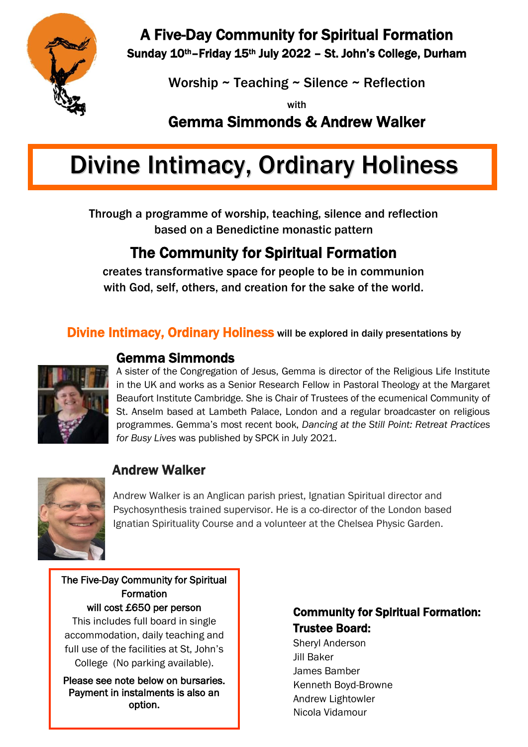

A Five-Day Community for Spiritual Formation

Sunday 10<sup>th</sup>–Friday 15<sup>th</sup> July 2022 - St. John's College, Durham

Worship ~ Teaching ~ Silence ~ Reflection

with

Gemma Simmonds & Andrew Walker

# Divine Intimacy, Ordinary Holiness

Through a programme of worship, teaching, silence and reflection based on a Benedictine monastic pattern

## The Community for Spiritual Formation

creates transformative space for people to be in communion with God, self, others, and creation for the sake of the world.

#### Divine Intimacy, Ordinary Holiness will be explored in daily presentations by



#### Gemma Simmonds

A sister of the Congregation of Jesus, Gemma is director of the Religious Life Institute in the UK and works as a Senior Research Fellow in Pastoral Theology at the Margaret Beaufort Institute Cambridge. She is Chair of Trustees of the ecumenical Community of St. Anselm based at Lambeth Palace, London and a regular broadcaster on religious programmes. Gemma's most recent book, *Dancing at the Still Point: Retreat Practices for Busy Lives* was published by SPCK in July 2021.



## Andrew Walker

Andrew Walker is an Anglican parish priest, Ignatian Spiritual director and Psychosynthesis trained supervisor. He is a co-director of the London based Ignatian Spirituality Course and a volunteer at the Chelsea Physic Garden.

The Five-Day Community for Spiritual Formation will cost £650 per person

This includes full board in single accommodation, daily teaching and full use of the facilities at St, John's College (No parking available).

Please see note below on bursaries. Payment in instalments is also an option.

#### Community for Spiritual Formation: Trustee Board:

Sheryl Anderson Jill Baker James Bamber Kenneth Boyd-Browne Andrew Lightowler Nicola Vidamour